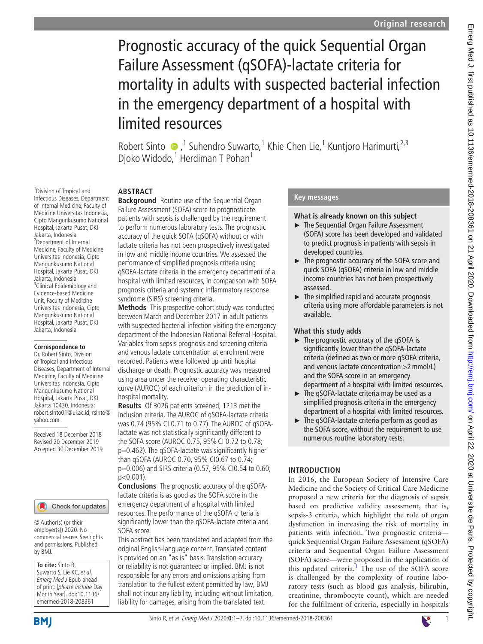# Prognostic accuracy of the quick Sequential Organ Failure Assessment (qSOFA)-lactate criteria for mortality in adults with suspected bacterial infection in the emergency department of a hospital with limited resources

Robert Sinto  $\bullet$ ,<sup>1</sup> Suhendro Suwarto,<sup>1</sup> Khie Chen Lie,<sup>1</sup> Kuntjoro Harimurti,<sup>2,3</sup> Djoko Widodo,<sup>1</sup> Herdiman T Pohan<sup>1</sup>

# **Abstract**

<sup>1</sup> Division of Tropical and Infectious Diseases, Department of Internal Medicine, Faculty of Medicine Universitas Indonesia, Cipto Mangunkusumo National Hospital, Jakarta Pusat, DKI Jakarta, Indonesia <sup>2</sup>Department of Internal Medicine, Faculty of Medicine Universitas Indonesia, Cipto Mangunkusumo National Hospital, Jakarta Pusat, DKI Jakarta, Indonesia <sup>3</sup> Clinical Epidemiology and Evidence-based Medicine Unit, Faculty of Medicine Universitas Indonesia, Cipto Mangunkusumo National Hospital, Jakarta Pusat, DKI Jakarta, Indonesia

**Correspondence to** Dr. Robert Sinto, Division of Tropical and Infectious Diseases, Department of Internal Medicine, Faculty of Medicine Universitas Indonesia, Cipto Mangunkusumo National Hospital, Jakarta Pusat, DKI Jakarta 10430, Indonesia; robert.sinto01@ui.ac.id; rsinto@

yahoo.com

Received 18 December 2018 Revised 20 December 2019 Accepted 30 December 2019 **Background** Routine use of the Sequential Organ Failure Assessment (SOFA) score to prognosticate patients with sepsis is challenged by the requirement to perform numerous laboratory tests. The prognostic accuracy of the quick SOFA (qSOFA) without or with lactate criteria has not been prospectively investigated in low and middle income countries. We assessed the performance of simplified prognosis criteria using qSOFA-lactate criteria in the emergency department of a hospital with limited resources, in comparison with SOFA prognosis criteria and systemic inflammatory response syndrome (SIRS) screening criteria.

**Methods** This prospective cohort study was conducted between March and December 2017 in adult patients with suspected bacterial infection visiting the emergency department of the Indonesian National Referral Hospital. Variables from sepsis prognosis and screening criteria and venous lactate concentration at enrolment were recorded. Patients were followed up until hospital discharge or death. Prognostic accuracy was measured using area under the receiver operating characteristic curve (AUROC) of each criterion in the prediction of inhospital mortality.

**Results** Of 3026 patients screened, 1213 met the inclusion criteria. The AUROC of qSOFA-lactate criteria was 0.74 (95% CI 0.71 to 0.77). The AUROC of qSOFAlactate was not statistically significantly different to the SOFA score (AUROC 0.75, 95%CI 0.72 to 0.78; p=0.462). The qSOFA-lactate was significantly higher than qSOFA (AUROC 0.70, 95% CI0.67 to 0.74; p=0.006) and SIRS criteria (0.57, 95% CI0.54 to 0.60; p<0.001).

**Conclusions** The prognostic accuracy of the qSOFAlactate criteria is as good as the SOFA score in the emergency department of a hospital with limited resources. The performance of the qSOFA criteria is significantly lower than the qSOFA-lactate criteria and SOFA score.

This abstract has been translated and adapted from the original English-language content. Translated content is provided on an "as is" basis. Translation accuracy or reliability is not guaranteed or implied. BMJ is not responsible for any errors and omissions arising from translation to the fullest extent permitted by law, BMJ shall not incur any liability, including without limitation, liability for damages, arising from the translated text.

# **Key messages**

#### **What is already known on this subject**

- ► The Sequential Organ Failure Assessment (SOFA) score has been developed and validated to predict prognosis in patients with sepsis in developed countries.
- ► The prognostic accuracy of the SOFA score and quick SOFA (qSOFA) criteria in low and middle income countries has not been prospectively assessed.
- $\blacktriangleright$  The simplified rapid and accurate prognosis criteria using more affordable parameters is not available.

# **What this study adds**

- ► The prognostic accuracy of the qSOFA is significantly lower than the qSOFA-lactate criteria (defined as two or more qSOFA criteria, and venous lactate concentration >2mmol/L) and the SOFA score in an emergency department of a hospital with limited resources.
- ► The qSOFA-lactate criteria may be used as a simplified prognosis criteria in the emergency department of a hospital with limited resources.
- ► The qSOFA-lactate criteria perform as good as the SOFA score, without the requirement to use numerous routine laboratory tests.

# **Introduction**

In 2016, the European Society of Intensive Care Medicine and the Society of Critical Care Medicine proposed a new criteria for the diagnosis of sepsis based on predictive validity assessment, that is, sepsis-3 criteria, which highlight the role of organ dysfunction in increasing the risk of mortality in patients with infection. Two prognostic criteria quick Sequential Organ Failure Assessment (qSOFA) criteria and Sequential Organ Failure Assessment (SOFA) score—were proposed in the application of this updated criteria. $1$  The use of the SOFA score is challenged by the complexity of routine laboratory tests (such as blood gas analysis, bilirubin, creatinine, thrombocyte count), which are needed for the fulfilment of criteria, especially in hospitals

# **BMI**

by BMJ.

**To cite:** Sinto R, Suwarto S, Lie KC, et al. Emerg Med J Epub ahead of print: [please include Day Month Year]. doi:10.1136/ emermed-2018-208361

© Author(s) (or their employer(s)) 2020. No commercial re-use. See rights and permissions. Published

Check for updates

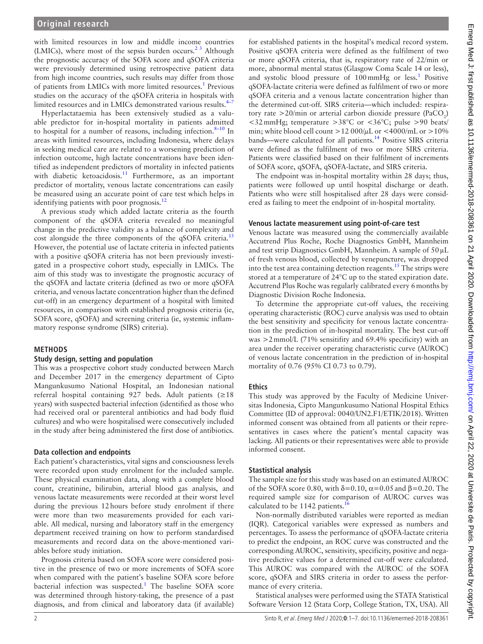with limited resources in low and middle income countries (LMICs), where most of the sepsis burden occurs.<sup>23</sup> Although the prognostic accuracy of the SOFA score and qSOFA criteria were previously determined using retrospective patient data from high income countries, such results may differ from those of patients from LMICs with more limited resources.<sup>[1](#page-5-0)</sup> Previous studies on the accuracy of the qSOFA criteria in hospitals with limited resources and in LMICs demonstrated various results.<sup>[4–7](#page-5-2)</sup>

Hyperlactataemia has been extensively studied as a valuable predictor for in-hospital mortality in patients admitted to hospital for a number of reasons, including infection. $8-10$  In areas with limited resources, including Indonesia, where delays in seeking medical care are related to a worsening prediction of infection outcome, high lactate concentrations have been identified as independent predictors of mortality in infected patients with diabetic ketoacidosis.<sup>[11](#page-6-0)</sup> Furthermore, as an important predictor of mortality, venous lactate concentrations can easily be measured using an accurate point of care test which helps in identifying patients with poor prognosis.<sup>[12](#page-6-1)</sup>

A previous study which added lactate criteria as the fourth component of the qSOFA criteria revealed no meaningful change in the predictive validity as a balance of complexity and cost alongside the three components of the qSOFA criteria.<sup>[13](#page-6-2)</sup> However, the potential use of lactate criteria in infected patients with a positive qSOFA criteria has not been previously investigated in a prospective cohort study, especially in LMICs. The aim of this study was to investigate the prognostic accuracy of the qSOFA and lactate criteria (defined as two or more qSOFA criteria, and venous lactate concentration higher than the defined cut-off) in an emergency department of a hospital with limited resources, in comparison with established prognosis criteria (ie, SOFA score, qSOFA) and screening criteria (ie, systemic inflammatory response syndrome (SIRS) criteria).

# **Methods**

#### **Study design, setting and population**

This was a prospective cohort study conducted between March and December 2017 in the emergency department of Cipto Mangunkusumo National Hospital, an Indonesian national referral hospital containing 927 beds. Adult patients (≥18 years) with suspected bacterial infection (identified as those who had received oral or parenteral antibiotics and had body fluid cultures) and who were hospitalised were consecutively included in the study after being administered the first dose of antibiotics.

#### **Data collection and endpoints**

Each patient's characteristics, vital signs and consciousness levels were recorded upon study enrolment for the included sample. These physical examination data, along with a complete blood count, creatinine, bilirubin, arterial blood gas analysis, and venous lactate measurements were recorded at their worst level during the previous 12hours before study enrolment if there were more than two measurements provided for each variable. All medical, nursing and laboratory staff in the emergency department received training on how to perform standardised measurements and record data on the above-mentioned variables before study initiation.

Prognosis criteria based on SOFA score were considered positive in the presence of two or more increments of SOFA score when compared with the patient's baseline SOFA score before bacterial infection was suspected.<sup>[1](#page-5-0)</sup> The baseline SOFA score was determined through history-taking, the presence of a past diagnosis, and from clinical and laboratory data (if available)

for established patients in the hospital's medical record system. Positive qSOFA criteria were defined as the fulfilment of two or more qSOFA criteria, that is, respiratory rate of 22/min or more, abnormal mental status (Glasgow Coma Scale 14 or less), and systolic blood pressure of 100mmHg or less.<sup>1</sup> Positive qSOFA-lactate criteria were defined as fulfilment of two or more qSOFA criteria and a venous lactate concentration higher than the determined cut-off. SIRS criteria—which included: respiratory rate >20/min or arterial carbon dioxide pressure (PaCO<sub>2</sub>)  $\langle 32 \text{mmHg}$ ; temperature  $>38^{\circ}$ C or  $<36^{\circ}$ C; pulse  $>90$  beats/ min; white blood cell count  $>12000/\mu L$  or  $< 4000/\mu L$  or  $> 10\%$ bands—were calculated for all patients.<sup>[14](#page-6-3)</sup> Positive SIRS criteria were defined as the fulfilment of two or more SIRS criteria. Patients were classified based on their fulfilment of increments of SOFA score, qSOFA, qSOFA-lactate, and SIRS criteria.

The endpoint was in-hospital mortality within 28 days; thus, patients were followed up until hospital discharge or death. Patients who were still hospitalised after 28 days were considered as failing to meet the endpoint of in-hospital mortality.

#### **Venous lactate measurement using point-of-care test**

Venous lactate was measured using the commercially available Accutrend Plus Roche, Roche Diagnostics GmbH, Mannheim and test strip Diagnostics GmbH, Mannheim. A sample of 50 µL of fresh venous blood, collected by venepuncture, was dropped into the test area containing detection reagents.<sup>15</sup> The strips were stored at a temperature of 24°C up to the stated expiration date. Accutrend Plus Roche was regularly calibrated every 6months by Diagnostic Division Roche Indonesia.

To determine the appropriate cut-off values, the receiving operating characteristic (ROC) curve analysis was used to obtain the best sensitivity and specificity for venous lactate concentration in the prediction of in-hospital mortality. The best cut-off was >2mmol/L (71% sensitifity and 69.4% specificity) with an area under the receiver operating characteristic curve (AUROC) of venous lactate concentration in the prediction of in-hospital mortality of 0.76 (95% CI 0.73 to 0.79).

#### **Ethics**

This study was approved by the Faculty of Medicine Universitas Indonesia, Cipto Mangunkusumo National Hospital Ethics Committee (ID of approval: 0040/UN2.F1/ETIK/2018). Written informed consent was obtained from all patients or their representatives in cases where the patient's mental capacity was lacking. All patients or their representatives were able to provide informed consent.

#### **Stastistical analysis**

The sample size for this study was based on an estimated AUROC of the SOFA score 0.80, with δ=0.10,  $\alpha$ =0.05 and β=0.20. The required sample size for comparison of AUROC curves was calculated to be 1142 patients.<sup>[16](#page-6-5)</sup>

Non-normally distributed variables were reported as median (IQR). Categorical variables were expressed as numbers and percentages. To assess the performance of qSOFA-lactate criteria to predict the endpoint, an ROC curve was constructed and the corresponding AUROC, sensitivity, specificity, positive and negative predictive values for a determined cut-off were calculated. This AUROC was compared with the AUROC of the SOFA score, qSOFA and SIRS criteria in order to assess the performance of every criteria.

Statistical analyses were performed using the STATA Statistical Software Version 12 (Stata Corp, College Station, TX, USA). All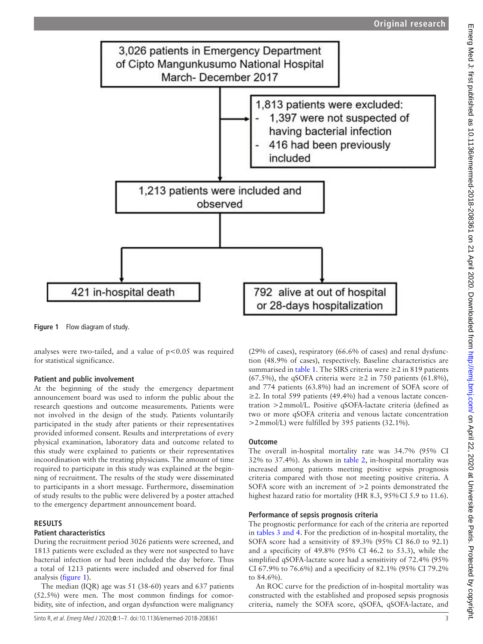

<span id="page-2-0"></span>**Figure 1** Flow diagram of study.

analyses were two-tailed, and a value of  $p < 0.05$  was required for statistical significance.

# **Patient and public involvement**

At the beginning of the study the emergency department announcement board was used to inform the public about the research questions and outcome measurements. Patients were not involved in the design of the study. Patients voluntarily participated in the study after patients or their representatives provided informed consent. Results and interpretations of every physical examination, laboratory data and outcome related to this study were explained to patients or their representatives incoordination with the treating physicians. The amount of time required to participate in this study was explained at the beginning of recruitment. The results of the study were disseminated to participants in a short message. Furthermore, dissemination of study results to the public were delivered by a poster attached to the emergency department announcement board.

#### **Results**

## **Patient characteristics**

During the recruitment period 3026 patients were screened, and 1813 patients were excluded as they were not suspected to have bacterial infection or had been included the day before. Thus a total of 1213 patients were included and observed for final analysis [\(figure](#page-2-0) 1).

The median (IQR) age was 51 (38-60) years and 637 patients (52.5%) were men. The most common findings for comorbidity, site of infection, and organ dysfunction were malignancy

(29% of cases), respiratory (66.6% of cases) and renal dysfunction (48.9% of cases), respectively. Baseline characteristics are summarised in [table](#page-3-0) 1. The SIRS criteria were  $\geq$  2 in 819 patients (67.5%), the qSOFA criteria were  $\geq$ 2 in 750 patients (61.8%), and 774 patients (63.8%) had an increment of SOFA score of ≥2. In total 599 patients (49.4%) had a venous lactate concentration >2mmol/L. Positive qSOFA-lactate criteria (defined as two or more qSOFA criteria and venous lactate concentration >2mmol/L) were fulfilled by 395 patients (32.1%).

#### **Outcome**

The overall in-hospital mortality rate was 34.7% (95% CI 32% to 37.4%). As shown in [table](#page-4-0) 2, in-hospital mortality was increased among patients meeting positive sepsis prognosis criteria compared with those not meeting positive criteria. A SOFA score with an increment of >2 points demonstrated the highest hazard ratio for mortality (HR 8.3, 95% CI 5.9 to 11.6).

# **Performance of sepsis prognosis criteria**

The prognostic performance for each of the criteria are reported in tables [3 and 4](#page-4-1). For the prediction of in-hospital mortality, the SOFA score had a sensitivity of 89.3% (95% CI 86.0 to 92.1) and a specificity of 49.8% (95% CI 46.2 to 53.3), while the simplified qSOFA-lactate score had a sensitivity of 72.4% (95% CI 67.9% to 76.6%) and a specificity of 82.1% (95% CI 79.2% to 84.6%).

An ROC curve for the prediction of in-hospital mortality was constructed with the established and proposed sepsis prognosis criteria, namely the SOFA score, qSOFA, qSOFA-lactate, and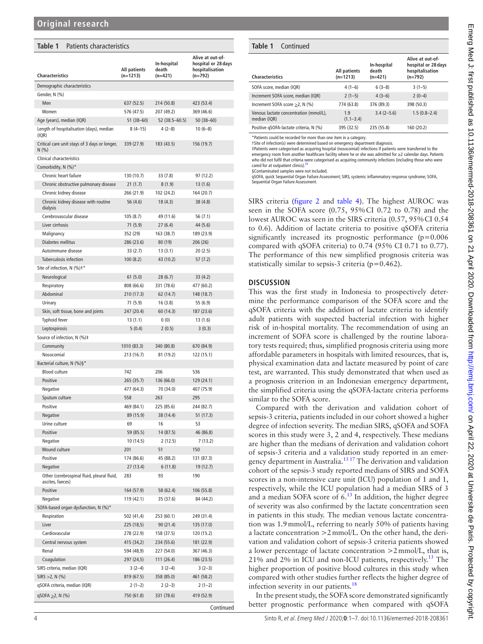# <span id="page-3-0"></span>**Table 1** Patients characteristics

| <b>Characteristics</b>                                                     | All patients<br>$(n=1213)$ | In-hospital<br>death<br>(n=421) | Alive at out-of-<br>hospital or 28 days<br>hospitalisation<br>(n=792) |
|----------------------------------------------------------------------------|----------------------------|---------------------------------|-----------------------------------------------------------------------|
| Demographic characteristics                                                |                            |                                 |                                                                       |
| Gender, N (%)                                                              |                            |                                 |                                                                       |
| Men                                                                        | 637 (52.5)                 | 214 (50.8)                      | 423 (53.4)                                                            |
| Women                                                                      | 576 (47.5)                 | 207 (49.2)                      | 369 (46.6)                                                            |
| Age (years), median (IQR)                                                  | $51(38-60)$                | 52 (38.5-60.5)                  | $50(38 - 60)$                                                         |
| Length of hospitalisation (days), median<br>(IQR)                          | $8(4-15)$                  | $4(2-8)$                        | $10(6-8)$                                                             |
| Critical care unit stays of 3 days or longer,<br>N(%                       | 339 (27.9)                 | 183 (43.5)                      | 156 (19.7)                                                            |
| Clinical characteristics                                                   |                            |                                 |                                                                       |
| Comorbidity, N (%)*                                                        |                            |                                 |                                                                       |
| Chronic heart failure                                                      | 130 (10.7)                 | 33 (7.8)                        | 97 (12.2)                                                             |
| Chronic obstructive pulmonary disease                                      | 21(1.7)                    | 8(1.9)                          | 13(1.6)                                                               |
| Chronic kidney disease                                                     | 266 (21.9)                 | 102 (24.2)                      | 164 (20.7)                                                            |
| Chronic kidney disease with routine<br>dialysis<br>Cerebrovascular disease | 56 (4.6)<br>105 (8.7)      | 18 (4.3)<br>49 (11.6)           | 38 (4.8)<br>56 (7.1)                                                  |
| Liver cirrhosis                                                            | 71(5.9)                    | 27(6.4)                         | 44 (5.6)                                                              |
| Malignancy                                                                 | 352 (29)                   | 163 (38.7)                      | 189 (23.9)                                                            |
| Diabetes mellitus                                                          | 286 (23.6)                 | 80 (19)                         | 206 (26)                                                              |
| Autoimmune disease                                                         | 33(2.7)                    | 13(3.1)                         | 20(2.5)                                                               |
| Tuberculosis infection                                                     | 100 (8.2)                  | 43 (10.2)                       | 57(7.2)                                                               |
| Site of infection, N (%)+*                                                 |                            |                                 |                                                                       |
| Neurological                                                               | 61(5.0)                    | 28(6.7)                         | 33 (4.2)                                                              |
| Respiratory                                                                | 808 (66.6)                 | 331 (78.6)                      | 477 (60.2)                                                            |
| Abdominal                                                                  | 210 (17.3)                 | 62 (14.7)                       | 148 (18.7)                                                            |
| Urinary                                                                    | 71 (5.9)                   | 16(3.8)                         | 55 (6.9)                                                              |
| Skin, soft tissue, bone and joints                                         | 247 (20.4)                 | 60 (14.3)                       | 187 (23.6)                                                            |
| <b>Typhoid fever</b>                                                       | 13 (1.1)                   | 0(0)                            | 13 (1.6)                                                              |
| Leptospirosis                                                              | 5(0.4)                     | 2(0.5)                          | 3(0.3)                                                                |
| Source of infection, N (%)‡                                                |                            |                                 |                                                                       |
| Community                                                                  | 1010 (83.3)                | 340 (80.8)                      | 670 (84.9)                                                            |
| Nosocomial                                                                 | 213 (16.7)                 | 81 (19.2)                       | 122 (15.1)                                                            |
| Bacterial culture, N (%)§*                                                 |                            |                                 |                                                                       |
| <b>Blood culture</b>                                                       | 742                        | 206                             | 536                                                                   |
| Positive                                                                   | 265 (35.7)                 | 136 (66.0)                      | 129 (24.1)                                                            |
| Negative                                                                   | 477 (64.3)                 | 70 (34.0)                       | 407 (75.9)                                                            |
| Sputum culture                                                             | 558                        | 263                             | 295                                                                   |
| Positive                                                                   | 469 (84.1)                 | 225 (85.6)                      | 244 (82.7)                                                            |
| Negative                                                                   | 89 (15.9)                  | 38 (14.4)                       | 51 (17.3)                                                             |
| Urine culture                                                              | 69                         | 16                              | 53                                                                    |
| Positive                                                                   | 59 (85.5)                  | 14 (87.5)                       | 46 (86.8)                                                             |
| Negative                                                                   | 10(14.5)                   | 2(12.5)                         | 7 (13.2)                                                              |
| Wound culture                                                              | 201                        | 51                              | 150                                                                   |
| Positive                                                                   | 174 (86.6)                 | 45 (88.2)                       | 131 (87.3)                                                            |
| Negative<br>Other (cerebrospinal fluid, pleural fluid,<br>ascites, faeces) | 27 (13.4)<br>283           | 6(11.8)<br>93                   | 19 (12.7)<br>190                                                      |
| Positive                                                                   | 164 (57.9)                 | 58 (62.4)                       | 106 (55.8)                                                            |
| Negative                                                                   | 119 (42.1)                 | 35 (37.6)                       | 84 (44.2)                                                             |
| SOFA-based organ dysfunction, N (%)*                                       |                            |                                 |                                                                       |
| Respiration                                                                | 502 (41,4)                 | 253 (60.1)                      | 249 (31.4)                                                            |
| Liver                                                                      | 225 (18,5)                 | 90(21.4)                        | 135 (17.0)                                                            |
| Cardiovascular                                                             | 278 (22.9)                 | 158 (37.5)                      | 120 (15.2)                                                            |
| Central nervous system                                                     | 415 (34,2)                 | 234 (55.6)                      | 181 (22.9)                                                            |
| Renal                                                                      | 594 (48,9)                 | 227 (54.0)                      | 367 (46.3)                                                            |
| Coagulation                                                                | 297 (24,5)                 | 111 (26.4)                      | 186 (23.5)                                                            |
| SIRS criteria, median (IQR)                                                | $3(2-4)$                   | $3(2-4)$                        | $3(2-3)$                                                              |
| SIRS > 2, N (%)                                                            | 819 (67.5)                 | 358 (85.0)                      | 461 (58.2)                                                            |
| qSOFA criteria, median (IQR)                                               | $2(1-2)$                   | $2(2-3)$                        | $2(1-2)$                                                              |
| qSOFA $\geq$ 2, N (%)                                                      | 750 (61.8)                 | 331 (78.6)                      | 419 (52.9)                                                            |
|                                                                            |                            |                                 | Continued                                                             |

# **Table 1** Continued

| <b>Characteristics</b>                                 | All patients<br>$(n=1213)$ | In-hospital<br>death<br>$(n=421)$ | Alive at out-of-<br>hospital or 28 days<br>hospitalisation<br>$(n=792)$ |
|--------------------------------------------------------|----------------------------|-----------------------------------|-------------------------------------------------------------------------|
| SOFA score, median (IQR)                               | $4(1-6)$                   | $6(3-8)$                          | $3(1-5)$                                                                |
| Increment SOFA score, median (IQR)                     | $2(1-5)$                   | $4(3-6)$                          | $2(0-4)$                                                                |
| Increment SOFA score >2, N (%)                         | 774 (63.8)                 | 376 (89.3)                        | 398 (50.3)                                                              |
| Venous lactate concentration (mmol/L),<br>median (IQR) | 1.9<br>$(1.1 - 3.4)$       | $3.4(2-5.6)$                      | $1.5(0.8 - 2.4)$                                                        |
| Positive qSOFA-lactate criteria, N (%)                 | 395 (32.5)                 | 235 (55.8)                        | 160 (20.2)                                                              |

\*Patients could be recorded for more than one item in a category.

†Site of infection(s) were determined based on emergency department diagnosis. ‡Patients were categorised as acquiring hospital (nosocomial) infections if patients were transferred to the emergency room from another healthcare facility where he or she was admitted for ≥2 calendar days. Patients who did not fulfil that criteria were categorised as acquiring community infections (including those who were<br>cared for at outpatient clinics).<sup>[25](#page-6-6)</sup>

§Contaminated samples were not included.

qSOFA, quick Sequential Organ Failure Assessment; SIRS, systemic inflammatory response syndrome; SOFA, Sequential Organ Failure Assessment.

SIRS criteria ([figure](#page-5-4) 2 and [table](#page-4-2) 4). The highest AUROC was seen in the SOFA score (0.75, 95%CI 0.72 to 0.78) and the lowest AUROC was seen in the SIRS criteria (0.57, 95%CI 0.54 to 0.6). Addition of lactate criteria to positive qSOFA criteria significantly increased its prognostic performance (p=0.006 compared with qSOFA criteria) to 0.74 (95% CI 0.71 to 0.77). The performance of this new simplified prognosis criteria was statistically similar to sepsis-3 criteria ( $p=0.462$ ).

# **Discussion**

This was the first study in Indonesia to prospectively determine the performance comparison of the SOFA score and the qSOFA criteria with the addition of lactate criteria to identify adult patients with suspected bacterial infection with higher risk of in-hospital mortality. The recommendation of using an increment of SOFA score is challenged by the routine laboratory tests required; thus, simplified prognosis criteria using more affordable parameters in hospitals with limited resources, that is, physical examination data and lactate measured by point of care test, are warranted. This study demonstrated that when used as a prognosis criterion in an Indonesian emergency department, the simplified criteria using the qSOFA-lactate criteria performs similar to the SOFA score.

Compared with the derivation and validation cohort of sepsis-3 criteria, patients included in our cohort showed a higher degree of infection severity. The median SIRS, qSOFA and SOFA scores in this study were 3, 2 and 4, respectively. These medians are higher than the medians of derivation and validation cohort of sepsis-3 criteria and a validation study reported in an emergency department in Australia[.13 17](#page-6-2) The derivation and validation cohort of the sepsis-3 study reported medians of SIRS and SOFA scores in a non-intensive care unit (ICU) population of 1 and 1, respectively, while the ICU population had a median SIRS of 3 and a median SOFA score of  $6<sup>13</sup>$  In addition, the higher degree of severity was also confirmed by the lactate concentration seen in patients in this study. The median venous lactate concentration was 1.9mmol/L, referring to nearly 50% of patients having a lactate concentration >2mmol/L. On the other hand, the derivation and validation cohort of sepsis-3 criteria patients showed a lower percentage of lactate concentration  $>2$  mmol/L, that is,  $21\%$  and  $2\%$  in ICU and non-ICU patients, respectively.<sup>13</sup> The higher proportion of positive blood cultures in this study when compared with other studies further reflects the higher degree of infection severity in our patients.<sup>[18](#page-6-7)</sup>

In the present study, the SOFA score demonstrated significantly better prognostic performance when compared with qSOFA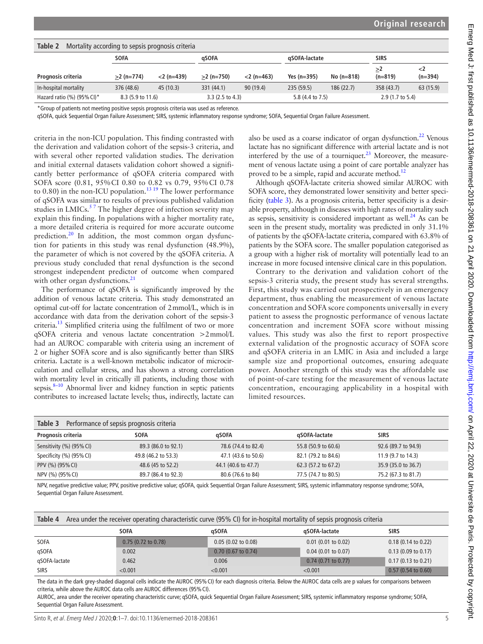<span id="page-4-0"></span>

| Table 2<br>Mortality according to sepsis prognosis criteria |                   |               |                    |               |                  |              |                            |                    |
|-------------------------------------------------------------|-------------------|---------------|--------------------|---------------|------------------|--------------|----------------------------|--------------------|
|                                                             | <b>SOFA</b>       |               | aSOFA              |               | aSOFA-lactate    |              | <b>SIRS</b>                |                    |
| Prognosis criteria                                          | $>2$ (n=774)      | $<$ 2 (n=439) | $>2$ (n=750)       | $<$ 2 (n=463) | Yes $(n=395)$    | $No (n=818)$ | $\geq$<br>$(n=819)$        | $<$ 2<br>$(n=394)$ |
| In-hospital mortality                                       | 376 (48.6)        | 45(10.3)      | 331 (44.1)         | 90(19.4)      | 235(59.5)        | 186(22.7)    | 358 (43.7)                 | 63 (15.9)          |
| Hazard ratio $(\%)$ (95% CI)*                               | 8.3 (5.9 to 11.6) |               | $3.3$ (2.5 to 4.3) |               | 5.8 (4.4 to 7.5) |              | $2.9(1.7 \text{ to } 5.4)$ |                    |

\*Group of patients not meeting positive sepsis prognosis criteria was used as reference.

qSOFA, quick Sequential Organ Failure Assessment; SIRS, systemic inflammatory response syndrome; SOFA, Sequential Organ Failure Assessment.

criteria in the non-ICU population. This finding contrasted with the derivation and validation cohort of the sepsis-3 criteria, and with several other reported validation studies. The derivation and initial external datasets validation cohort showed a significantly better performance of qSOFA criteria compared with SOFA score (0.81, 95%CI 0.80 to 0.82 vs 0.79, 95%CI 0.78 to 0.80) in the non-ICU population.<sup>[13 19](#page-6-2)</sup> The lower performance of qSOFA was similar to results of previous published validation studies in LMICs. $57$  The higher degree of infection severity may explain this finding. In populations with a higher mortality rate, a more detailed criteria is required for more accurate outcome prediction.<sup>20</sup> In addition, the most common organ dysfunction for patients in this study was renal dysfunction (48.9%), the parameter of which is not covered by the qSOFA criteria. A previous study concluded that renal dysfunction is the second strongest independent predictor of outcome when compared with other organ dysfunctions. $^{21}$  $^{21}$  $^{21}$ 

The performance of qSOFA is significantly improved by the addition of venous lactate criteria. This study demonstrated an optimal cut-off for lactate concentration of 2mmol/L, which is in accordance with data from the derivation cohort of the sepsis-3 criteria.[13](#page-6-2) Simplified criteria using the fulfilment of two or more qSOFA criteria and venous lactate concentration >2mmol/L had an AUROC comparable with criteria using an increment of 2 or higher SOFA score and is also significantly better than SIRS criteria. Lactate is a well-known metabolic indicator of microcirculation and cellular stress, and has shown a strong correlation with mortality level in critically ill patients, including those with sepsis.<sup>8-10</sup> Abnormal liver and kidney function in septic patients contributes to increased lactate levels; thus, indirectly, lactate can

also be used as a coarse indicator of organ dysfunction.<sup>[22](#page-6-10)</sup> Venous lactate has no significant difference with arterial lactate and is not interfered by the use of a tourniquet. $^{23}$  Moreover, the measurement of venous lactate using a point of care portable analyzer has proved to be a simple, rapid and accurate method.<sup>12</sup>

Although qSOFA-lactate criteria showed similar AUROC with SOFA score, they demonstrated lower sensitivity and better specificity [\(table](#page-4-1) 3). As a prognosis criteria, better specificity is a desirable property, although in diseases with high rates of mortality such as sepsis, sensitivity is considered important as well.<sup>24</sup> As can be seen in the present study, mortality was predicted in only 31.1% of patients by the qSOFA-lactate criteria, compared with 63.8% of patients by the SOFA score. The smaller population categorised as a group with a higher risk of mortality will potentially lead to an increase in more focused intensive clinical care in this population.

Contrary to the derivation and validation cohort of the sepsis-3 criteria study, the present study has several strengths. First, this study was carried out prospectively in an emergency department, thus enabling the measurement of venous lactate concentration and SOFA score components universally in every patient to assess the prognostic performance of venous lactate concentration and increment SOFA score without missing values. This study was also the first to report prospective external validation of the prognostic accuracy of SOFA score and qSOFA criteria in an LMIC in Asia and included a large sample size and proportional outcomes, ensuring adequate power. Another strength of this study was the affordable use of point-of-care testing for the measurement of venous lactate concentration, encouraging applicability in a hospital with limited resources.

<span id="page-4-1"></span>

| Table 3<br>Performance of sepsis prognosis criteria |                     |                     |                     |                     |
|-----------------------------------------------------|---------------------|---------------------|---------------------|---------------------|
| Prognosis criteria                                  | <b>SOFA</b>         | aSOFA               | qSOFA-lactate       | <b>SIRS</b>         |
| Sensitivity (%) (95% CI)                            | 89.3 (86.0 to 92.1) | 78.6 (74.4 to 82.4) | 55.8 (50.9 to 60.6) | 92.6 (89.7 to 94.9) |
| Specificity (%) (95% CI)                            | 49.8 (46.2 to 53.3) | 47.1 (43.6 to 50.6) | 82.1 (79.2 to 84.6) | 11.9 (9.7 to 14.3)  |
| PPV (%) (95% CI)                                    | 48.6 (45 to 52.2)   | 44.1 (40.6 to 47.7) | 62.3 (57.2 to 67.2) | 35.9 (35.0 to 36.7) |
| NPV (%) (95% CI)                                    | 89.7 (86.4 to 92.3) | 80.6 (76.6 to 84)   | 77.5 (74.7 to 80.5) | 75.2 (67.3 to 81.7) |

NPV, negative predictive value; PPV, positive predictive value; qSOFA, quick Sequential Organ Failure Assessment; SIRS, systemic inflammatory response syndrome; SOFA, Sequential Organ Failure Assessment.

<span id="page-4-2"></span>

| Area under the receiver operating characteristic curve (95% CI) for in-hospital mortality of sepsis prognosis criteria<br>Table 4 |                               |                               |                       |                               |
|-----------------------------------------------------------------------------------------------------------------------------------|-------------------------------|-------------------------------|-----------------------|-------------------------------|
|                                                                                                                                   | <b>SOFA</b>                   | aSOFA                         | aSOFA-lactate         | <b>SIRS</b>                   |
| <b>SOFA</b>                                                                                                                       | $0.75(0.72 \text{ to } 0.78)$ | $0.05(0.02 \text{ to } 0.08)$ | $0.01$ (0.01 to 0.02) | $0.18(0.14 \text{ to } 0.22)$ |
| qSOFA                                                                                                                             | 0.002                         | $0.70$ (0.67 to 0.74)         | $0.04$ (0.01 to 0.07) | $0.13$ (0.09 to 0.17)         |
| qSOFA-lactate                                                                                                                     | 0.462                         | 0.006                         | $0.74$ (0.71 to 0.77) | $0.17(0.13 \text{ to } 0.21)$ |
| <b>SIRS</b>                                                                                                                       | < 0.001                       | < 0.001                       | < 0.001               | $0.57(0.54 \text{ to } 0.60)$ |

The data in the dark grey-shaded diagonal cells indicate the AUROC (95%CI) for each diagnosis criteria. Below the AUROC data cells are p values for comparisons between criteria, while above the AUROC data cells are AUROC differences (95%CI).

AUROC, area under the receiver operating characteristic curve; qSOFA, quick Sequential Organ Failure Assessment; SIRS, systemic inflammatory response syndrome; SOFA, Sequential Organ Failure Assessment.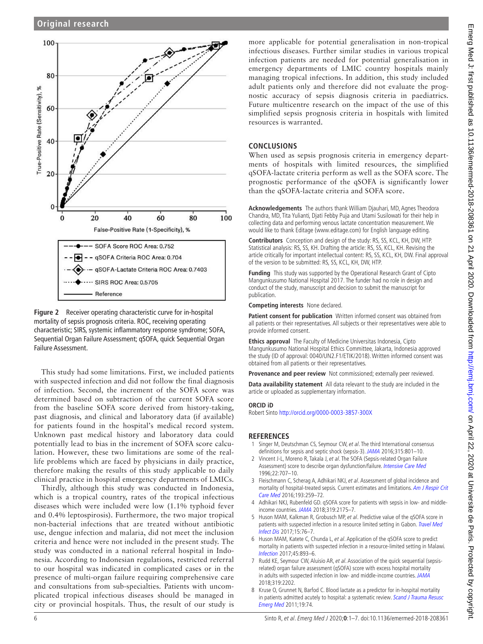

<span id="page-5-4"></span>**Figure 2** Receiver operating characteristic curve for in-hospital mortality of sepsis prognosis criteria. ROC, receiving operating characteristic; SIRS, systemic inflammatory response syndrome; SOFA, Sequential Organ Failure Assessment; qSOFA, quick Sequential Organ Failure Assessment.

This study had some limitations. First, we included patients with suspected infection and did not follow the final diagnosis of infection. Second, the increment of the SOFA score was determined based on subtraction of the current SOFA score from the baseline SOFA score derived from history-taking, past diagnosis, and clinical and laboratory data (if available) for patients found in the hospital's medical record system. Unknown past medical history and laboratory data could potentially lead to bias in the increment of SOFA score calculation. However, these two limitations are some of the reallife problems which are faced by physicians in daily practice, therefore making the results of this study applicable to daily clinical practice in hospital emergency departments of LMICs.

Thirdly, although this study was conducted in Indonesia, which is a tropical country, rates of the tropical infectious diseases which were included were low (1.1% typhoid fever and 0.4% leptospirosis). Furthermore, the two major tropical non-bacterial infections that are treated without antibiotic use, dengue infection and malaria, did not meet the inclusion criteria and hence were not included in the present study. The study was conducted in a national referral hospital in Indonesia. According to Indonesian regulations, restricted referral to our hospital was indicated in complicated cases or in the presence of multi-organ failure requiring comprehensive care and consultations from sub-specialties. Patients with uncomplicated tropical infectious diseases should be managed in city or provincial hospitals. Thus, the result of our study is

more applicable for potential generalisation in non-tropical infectious diseases. Further similar studies in various tropical infection patients are needed for potential generalisation in emergency departments of LMIC country hospitals mainly managing tropical infections. In addition, this study included adult patients only and therefore did not evaluate the prognostic accuracy of sepsis diagnosis criteria in paediatrics. Future multicentre research on the impact of the use of this simplified sepsis prognosis criteria in hospitals with limited resources is warranted.

# **Conclusions**

When used as sepsis prognosis criteria in emergency departments of hospitals with limited resources, the simplified qSOFA-lactate criteria perform as well as the SOFA score. The prognostic performance of the qSOFA is significantly lower than the qSOFA-lactate criteria and SOFA score.

**Acknowledgements** The authors thank William Djauhari, MD, Agnes Theodora Chandra, MD, Tita Yulianti, Djati Febby Puja and Utami Susilowati for their help in collecting data and performing venous lactate concentration measurement. We would like to thank Editage (www.editage.com) for English language editing.

**Contributors** Conception and design of the study: RS, SS, KCL, KH, DW, HTP. Statistical analysis: RS, SS, KH. Drafting the article: RS, SS, KCL, KH. Revising the article critically for important intellectual content: RS, SS, KCL, KH, DW. Final approval of the version to be submitted: RS, SS, KCL, KH, DW, HTP.

**Funding** This study was supported by the Operational Research Grant of Cipto Mangunkusumo National Hospital 2017. The funder had no role in design and conduct of the study, manuscript and decision to submit the manuscript for publication.

**Competing interests** None declared.

**Patient consent for publication** Written informed consent was obtained from all patients or their representatives. All subjects or their representatives were able to provide informed consent.

**Ethics approval** The Faculty of Medicine Universitas Indonesia, Cipto Mangunkusumo National Hospital Ethics Committee, Jakarta, Indonesia approved the study (ID of approval: 0040/UN2.F1/ETIK/2018). Written informed consent was obtained from all patients or their representatives.

**Provenance and peer review** Not commissioned; externally peer reviewed.

**Data availability statement** All data relevant to the study are included in the article or uploaded as supplementary information.

#### **ORCID iD**

Robert Sinto<http://orcid.org/0000-0003-3857-300X>

# **References**

- <span id="page-5-0"></span>1 Singer M, Deutschman CS, Seymour CW, et al. The third International consensus definitions for sepsis and septic shock (sepsis-3). [JAMA](http://dx.doi.org/10.1001/jama.2016.0287) 2016;315:801–10.
- <span id="page-5-1"></span>2 Vincent J-L, Moreno R, Takala J, et al. The SOFA (Sepsis-related Organ Failure Assessment) score to describe organ dysfunction/failure. [Intensive Care Med](http://dx.doi.org/10.1007/BF01709751) 1996;22:707–10.
- 3 Fleischmann C, Scherag A, Adhikari NKJ, et al. Assessment of global incidence and mortality of hospital-treated sepsis. Current estimates and limitations. [Am J Respir Crit](http://dx.doi.org/10.1164/rccm.201504-0781OC) [Care Med](http://dx.doi.org/10.1164/rccm.201504-0781OC) 2016;193:259–72.
- <span id="page-5-2"></span>4 Adhikari NKJ, Rubenfeld GD. qSOFA score for patients with sepsis in low- and middleincome countries. [JAMA](http://dx.doi.org/10.1001/jama.2018.6413) 2018;319:2175–7.
- <span id="page-5-5"></span>5 Huson MAM, Kalkman R, Grobusch MP, et al. Predictive value of the qSOFA score in patients with suspected infection in a resource limited setting in Gabon. Travel Med [Infect Dis](http://dx.doi.org/10.1016/j.tmaid.2016.10.014) 2017;15:76–7.
- 6 Huson MAM, Katete C, Chunda L, et al. Application of the qSOFA score to predict mortality in patients with suspected infection in a resource-limited setting in Malawi. [Infection](http://dx.doi.org/10.1007/s15010-017-1057-5) 2017;45:893–6.
- 7 Rudd KE, Seymour CW, Aluisio AR, et al. Association of the quick sequential (sepsisrelated) organ failure assessment (qSOFA) score with excess hospital mortality in adults with suspected infection in low- and middle-income countries. [JAMA](http://dx.doi.org/10.1001/jama.2018.6229) 2018;319:2202.
- <span id="page-5-3"></span>8 Kruse O, Grunnet N, Barfod C. Blood lactate as a predictor for in-hospital mortality in patients admitted acutely to hospital: a systematic review. Scand J Trauma Resusc [Emerg Med](http://dx.doi.org/10.1186/1757-7241-19-74) 2011;19:74.